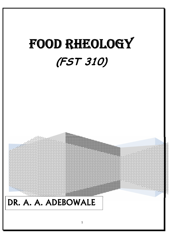# **FOOD RHEOLOGY** *(FST 310)*

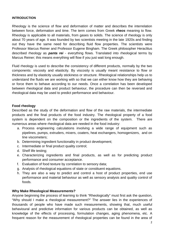#### **INTRODUCTION**

Rheology is the science of flow and deformation of matter and describes the interrelation between force, deformation and time. The term comes from Greek *rheos* meaning to flow. Rheology is applicable to all materials, from gases to solids. The science of rheology is only about 70 years of age. It was founded by two scientists meeting in the late 1920s and finding out they have the same need for describing fluid flow properties. The scientists were Professor Marcus Reiner and Professor Eugene Bingham. The Greek philosopher Heraclitus described rheology as *panta rei* - everything flows. Translated into rheological terms by Marcus Reiner; this means everything will flow if you just wait long enough.

Fluid rheology is used to describe the consistency of different products, normally by the two components: viscosity and elasticity. By viscosity is usually meant resistance to flow or thickness and by elasticity usually stickiness or structure. Rheological relationships help us to understand the fluids we are working with so that we can either know how they are behaving or force them to behave according to our needs. Once a correlation has been developed between rheological data and product behaviour, the procedure can then be reversed and rheological data may be used to predict performance and behaviour.

#### **Food rheology**

Described as the study of the deformation and flow of the raw materials, the intermediate products and the final products of the food industry. The rheological property of a food system is dependent on the composition or the ingredients of the system. There are numerous areas where rheological data are needed in the food industry:

- a. Process engineering calculations involving a wide range of equipment such as pipelines, pumps, extruders, mixers, coaters, heat exchangers, homogenizers, and on line viscometers;
- b. Determining ingredient functionality in product development;
- c. Intermediate or final product quality control;
- d. Shelf life testing;
- e. Characterizing ingredients and final products, as well as for predicting product performance and consumer acceptance.
- f. Evaluation of food texture by correlation to sensory data;
- g. Analysis of rheological equations of state or constituent equations.
- h. They are also a way to predict and control a host of product properties, end use performance and material behaviour as well as sensory analysis and quality control of foods.

#### **Why Make Rheological Measurements?**

Anyone beginning the process of learning to think "Rheologically" must first ask the question, "Why should I make a rheological measurement?" The answer lies in the experiences of thousands of people who have made such measurements, showing that, much useful behavioural and predictive information for various products can be obtained, as well as knowledge of the effects of processing, formulation changes, aging phenomena, etc. A frequent reason for the measurement of rheological properties can be found in the area of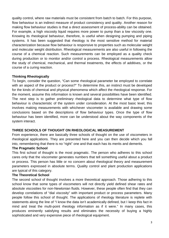quality control, where raw materials must be consistent from batch to batch. For this purpose, flow behaviour is an indirect measure of product consistency and quality. Another reason for making flow behaviour studies is that a direct assessment of process-ability can be obtained. For example, a high viscosity liquid requires more power to pump than a low viscosity one. Knowing its rheological behaviour, therefore, is useful when designing pumping and piping systems. It has been suggested that rheology is the most sensitive method for material characterization because flow behaviour is responsive to properties such as molecular weight and molecular weight distribution. Rheological measurements are also useful in following the course of a chemical reaction. Such measurements can be employed as a quality check during production or to monitor and/or control a process. Rheological measurements allow the study of chemical, mechanical, and thermal treatments, the effects of additives, or the course of a curing reaction.

# **Thinking Rheologically**

To begin, consider the question, "Can some rheological parameter be employed to correlate with an aspect of the product or process?" To determine this, an instinct must be developed for the kinds of chemical and physical phenomena which affect the rheological response. For the moment, assume this information is known and several possibilities have been identified. The next step is to gather preliminary rheological data to determine what type of flow behaviour is characteristic of the system under consideration. At the most basic level, this involves making measurements with whichever viscometer is available and drawing some conclusions based on the descriptions of flow behaviour types. Once the type of flow behaviour has been identified, more can be understood about the way components of the system interact.

# **THREE SCHOOLS OF THOUGHT ON RHEOLOGICAL MEASUREMENT**

From experience, there are basically three schools of thought on the use of viscometers in rheological applications. They are presented here and you can then decide which you fall into, remembering that there is no "right" one and that each has its merits and demerits.

# **The Pragmatic School**

This first school of thought is the most pragmatic. The person who adheres to this school cares only that the viscometer generates numbers that tell something useful about a product or process. This person has little or no concern about rheological theory and measurement parameters expressed in absolute terms. Quality control and plant production applications are typical of this category.

# **The Theoretical School**

The second school of thought involves a more theoretical approach. Those adhering to this school know that some types of viscometers will not directly yield defined shear rates and absolute viscosities for non-Newtonian fluids. However, these people often find that they can develop correlations of "dial viscosity" with important product or process parameters. Many people follow this school of thought. The applications of rheology literature is replete with statements along the line of "I know the data isn't academically defined, but I keep this fact in mind and treat the multi-point rheology information as if it were." In many cases, this produces eminently satisfying results and eliminates the necessity of buying a highly sophisticated and very expensive piece of rheological equipment.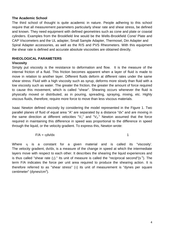#### **The Academic School**

The third school of thought is quite academic in nature. People adhering to this school require that all measurement parameters particularly shear rate and shear stress, be defined and known. They need equipment with defined geometries such as cone and plate or coaxial cylinders. Examples from the Brookfield line would be the Wells-Brookfield Cone/ Plate and CAP Viscometers and the UL adapter, Small Sample Adapter, Thermosel, Din Adapter and Spiral Adapter accessories, as well as the R/S and PVS Rheometers. With this equipment the shear rate is defined and accurate absolute viscosities are obtained directly.

## **RHEOLOGICAL PARAMETERS**

#### **Viscosity**

Simply put viscosity is the resistance to deformation and flow. It is the measure of the internal friction of a fluid. This friction becomes apparent when a layer of fluid is made to move in relation to another layer. Different fluids deform at different rates under the same shear stress. Fluid with a high viscosity such as syrup, deforms more slowly than fluid with a low viscosity such as water. The greater the friction, the greater the amount of force required to cause this movement, which is called "shear". Shearing occurs whenever the fluid is physically moved or distributed, as in pouring, spreading, spraying, mixing, etc. Highly viscous fluids, therefore, require more force to move than less viscous materials.

Isaac Newton defined viscosity by considering the model represented in the Figure 1. Two parallel planes of fluid of equal area "A" are separated by a distance "dx" and are moving in the same direction at different velocities " $V_1$ " and " $V_2$ ." Newton assumed that the force required in maintaining this difference in speed was proportional to the difference in speed through the liquid, or the velocity gradient. To express this, Newton wrote:

$$
F/A = \eta dv/dx
$$

Where  $\eta$  is a constant for a given material and is called its "viscosity'. The velocity gradient, dv/dx, is a measure of the change in speed at which the intermediate layers move with respect to each other. It describes the shearing the liquid experiences and is thus called "shear rate ( $\gamma$ )." Its unit of measure is called the "reciprocal second"(s<sup>-1</sup>). The term F/A indicates the force per unit area required to produce the shearing action. It is therefore referred to as "shear stress"  $(\tau)$  its unit of measurement is "dynes per square centimeter" (dynes/cm<sup>2</sup>).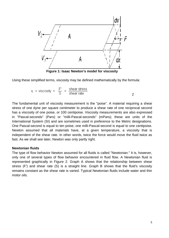

**Figure 1: Isaac Newton's model for viscosity**

Using these simplified terms, viscosity may be defined mathematically by the formula:

$$
\eta = \text{viscosity} = \frac{F'}{S} = \frac{\text{shear stress}}{\text{shear rate}}
$$

The fundamental unit of viscosity measurement is the "poise". A material requiring a shear stress of one dyne per square centimeter to produce a shear rate of one reciprocal second has a viscosity of one poise, or 100 centipoise. Viscosity measurements are also expressed in "Pascal-seconds" (Pa•s) or "milli-Pascal-seconds" (mPa•s); these are units of the International System (SI) and are sometimes used in preference to the Metric designations. One Pascal-second is equal to ten poise; one milli-Pascal-second is equal to one centipoise. Newton assumed that all materials have, at a given temperature, a viscosity that is independent of the shear rate. In other words, twice the force would move the fluid twice as fast. As we shall see later, Newton was only partly right.

#### **Newtonian fluids**

The type of flow behavior Newton assumed for all fluids is called "Newtonian." It is, however, only one of several types of flow behavior encountered in fluid flow. A Newtonian fluid is represented graphically in Figure 2. Graph A shows that the relationship between shear stress (F') and shear rate (S) is a straight line. Graph B shows that the fluid's viscosity remains constant as the shear rate is varied. Typical Newtonian fluids include water and thin motor oils.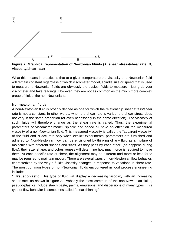

**Figure 2: Graphical representation of Newtonian Fluids (A, shear stress/shear rate; B, viscosity/shear rate)**

What this means in practice is that at a given temperature the viscosity of a Newtonian fluid will remain constant regardless of which viscometer model, spindle size or speed that is used to measure it. Newtonian fluids are obviously the easiest fluids to measure - just grab your viscometer and take readings. However, they are not as common as the much more complex group of fluids, the non-Newtonians.

#### **Non-newtonian fluids**

A non-Newtonian fluid is broadly defined as one for which the relationship shear stress/shear rate is not a constant. In other words, when the shear rate is varied, the shear stress does not vary in the same proportion (or even necessarily in the same direction). The viscosity of such fluids will therefore change as the shear rate is varied. Thus, the experimental parameters of viscometer model, spindle and speed all have an effect on the measured viscosity of a non-Newtonian fluid. This measured viscosity is called the "apparent viscosity" of the fluid and is accurate only when explicit experimental parameters are furnished and adhered to. Non-Newtonian flow can be envisioned by thinking of any fluid as a mixture of molecules with different shapes and sizes. As they pass by each other, (as happens during flow), their size, shape, and cohesiveness will determine how much force is required to move them. At each specific rate of shear, the alignment may be different and more or less force may be required to maintain motion. There are several types of non-Newtonian flow behavior, characterized by the way a fluid's viscosity changes in response to variations in shear rate. The most common types of non-Newtonian fluids encountered in food process engineering include:

**1. Psuedoplastic:** This type of fluid will display a decreasing viscosity with an increasing shear rate, as shown in figure 3. Probably the most common of the non-Newtonian fluids, pseudo-plastics include starch paste, paints, emulsions, and dispersions of many types. This type of flow behavior is sometimes called "shear-thinning."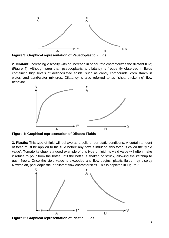

**Figure 3: Graphical representation of Psuedoplastic Fluids**

**2. Dilatant:** Increasing viscosity with an increase in shear rate characterizes the dilatant fluid; (Figure 4). Although rarer than pseudoplasticity, dilatancy is frequently observed in fluids containing high levels of deflocculated solids, such as candy compounds, corn starch in water, and sand/water mixtures. Dilatancy is also referred to as "shear-thickening" flow behavior.



**Figure 4: Graphical representation of Dilatant Fluids**

**3. Plastic:** This type of fluid will behave as a solid under static conditions. A certain amount of force must be applied to the fluid before any flow is induced; this force is called the "yield value". Tomato ketchup is a good example of this type of fluid; its yield value will often make it refuse to pour from the bottle until the bottle is shaken or struck, allowing the ketchup to gush freely. Once the yield value is exceeded and flow begins, plastic fluids may display Newtonian, pseudoplastic, or dilatant flow characteristics. This is depicted in Figure 5.



**Figure 5: Graphical representation of Plastic Fluids**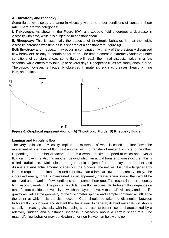## **4. Thixotropy and rheopexy**

Some fluids will display a change in viscosity with time under conditions of constant shear rate. There are two categories:

**i. Thixotropy**: As shown in the Figure 6(A), a thixotropic fluid undergoes a decrease in viscosity with time, while it is subjected to constant shear.

**ii. Rheopexy:** This is essentially the opposite of thixotropic behavior, in that the fluid's viscosity increases with time as it is sheared at a constant rate (figure 6(B)).

Both thixotropy and rheopexy may occur in combination with any of the previously discussed flow behaviors, or only at certain shear rates. The time element is extremely variable; under conditions of constant shear, some fluids will reach their final viscosity value in a few seconds, while others may take up to several days. Rheopectic fluids are rarely encountered. Thixotropy, however, is frequently observed in materials such as greases, heavy printing inks, and paints.



**Figure 6: Graphical representation of (A) Thixotropic Fluids (B) Rheopexy fluids**

#### **Laminar and turbulent flow**

The very definition of viscosity implies the existence of what is called "laminar flow": the movement of one layer of fluid past another with no transfer of matter from one to the other. Depending on a number of factors, there is a certain maximum speed at which one layer of fluid can move in relatiion to another, beyond which an actual transfer of mass occurs. This is called "turbulence." Molecules or larger particles jump from one layer to another and dissipate a substantial amount of energy in the process. The net result is that a larger energy input is required to maintain this turbulent flow than a laminar flow at the same velocity. The increased energy input is manifested as an apparently greater shear stress than would be observed under laminar flow conditions at the same shear rate. This results in an erroneously high viscosity reading. The point at which laminar flow evolves into turbulent flow depends on other factors besides the velocity at which the layers move. A material's viscosity and specific gravity as well as the geometry of the Viscometer spindle and sample container all influence the point at which this transition occurs. Care should be taken to distinguish between turbulent flow conditions and dilatant flow behaviour. In general, dilatant materials will show a steadily increasing viscosity with increasing shear rate; turbulent flow is characterized by a relatively sudden and substantial increase in viscosity above a certain shear rate. The material's flow behavior may be Newtonian or non-Newtonian below this point.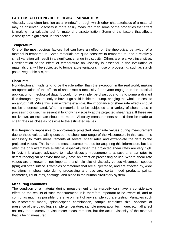## **FACTORS AFFECTING RHEOLOGICAL PARAMETERS**

Viscosity data often function as a "window" through which other characteristics of a material may be observed. Viscosity is more easily measured than some of the properties that affect it, making it a valuable tool for material characterization. Some of the factors that affects viscosity are highlighted in this section.

#### **Temperature**

One of the most obvious factors that can have an effect on the rheological behaviour of a material is temperature. Some materials are quite sensitive to temperature, and a relatively small variation will result in a significant change in viscosity. Others are relatively insensitive. Consideration of the effect of temperature on viscosity is essential in the evaluation of materials that will be subjected to temperature variations in use or processing, such as starch paste, vegetable oils, etc.

#### **Shear rate**

Non-Newtonian fluids tend to be the rule rather than the exception in the real world, making an appreciation of the effects of shear rate a necessity for anyone engaged in the practical application of rheological data. It would, for example, be disastrous to try to pump a dilatant fluid through a system, only to have it go solid inside the pump, bringing the whole process to an abrupt halt. While this is an extreme example, the importance of shear rate effects should not be underestimated. When a material is to be subjected to a variety of shear rates in processing or use, it is essential to know its viscosity at the projected shear rates. If these are not known, an estimate should be made. Viscosity measurements should then be made at shear rates as close as possible to the estimated values.

It is frequently impossible to approximate projected shear rate values during measurement due to those values falling outside the shear rate range of the Viscometer. In this case, it is necessary to make measurements at several shear rates and extrapolate the data to the projected values. This is not the most accurate method for acquiring this information, but it is often the only alternative available, especially when the projected shear rates are very high. In fact, it is always advisable to make viscosity measurements at several shear rates to detect rheological behavior that may have an effect on processing or use. Where shear rate values are unknown or not important, a simple plot of viscosity versus viscometer speeds (rpm) will often suffice. Examples of materials that are subjected to, and are affected by, wide variations in shear rate during processing and use are: certain food products, paints, cosmetics, liquid latex, coatings, and blood in the human circulatory system.

#### **Measuring conditions**

The condition of a material during measurement of its viscosity can have a considerable effect on the results of such measurement. It is therefore important to be aware of, and to control as much as possible, the environment of any sample you are testing. Variables such as viscometer model, spindle/speed combination, sample container size, absence or presence of the guard leg, sample temperature, sample preparation technique, etc., all affect not only the accuracy of viscometer measurements, but the actual viscosity of the material that is being measured.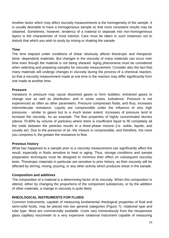Another factor which may affect viscosity measurements is the homogeneity of the sample. It is usually desirable to have a homogeneous sample so that more consistent results may be obtained. Sometimes, however, tendency of a material to separate into non-homogeneous layers is the characteristic of most interest. Care must be taken in such instances not to disturb that which you wish to study by mixing or shaking the sample.

#### **Time**

The time elapsed under conditions of shear obviously affects thixotropic and rheopectic (time- dependent) materials. But changes in the viscosity of many materials can occur over time even though the material is not being sheared. Aging phenomena must be considered when selecting and preparing samples for viscosity measurement. Consider also the fact that many materials will undergo changes in viscosity during the process of a chemical reaction, so that a viscosity measurement made at one time in the reaction may differ significantly from one made at another time.

#### **Pressure**

Variations in pressure may cause dissolved gases to form bubbles; entrained gases to change size as well as distribution, and in some cases, turbulence. Pressure is not experienced as often as other parameters. Pressure compresses fluids, and thus, increases intermolecular resistance. Liquids are compressible under the influence of very high pressures - similar to gases but to a much lesser extent. Increases of pressure tend to increase the viscosity. As an example: The flow properties of highly concentrated slurries (above 70-80% by volume of particles) where there is insufficient liquid to fill completely all the voids between the particles results in a three-phase mixture (i.e. solids, liquids, and usually air). Due to the presence of air, the mixture is compressible, and therefore, the more you compress it, the greater the resistance to flow.

#### **Previous history**

What has happened to a sample prior to a viscosity measurement can significantly affect the result, especially in fluids sensitive to heat or aging. Thus, storage conditions and sample preparation techniques must be designed to minimize their effect on subsequent viscosity tests. Thixotropic materials in particular are sensitive to prior history, as their viscosity will be affected by stirring, mixing, pouring, or any other activity which produces shear in the sample.

#### **Composition and additives**

The composition of a material is a determining factor of its viscosity. When this composition is altered, either by changing the proportions of the component substances, or by the addition of other materials, a change in viscosity is quite likely.

#### **RHEOLOGICAL INSTRUMENTS FOR FLUIDS**

Common instruments, capable of measuring fundamental rheological properties of fluid and semi-solid foods, may be placed into two general categories (Figure 7): rotational type and tube type. Most are commercially available. Costs vary tremendously from the inexpensive glass capillary viscometer to a very expensive rotational instrument capable of measuring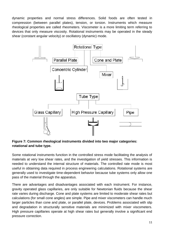dynamic properties and normal stress differences. Solid foods are often tested in compression (between parallel plates), tension, or torsion. Instruments which measure rheological properties are called rheometers. Viscometer is a more limiting term referring to devices that only measure viscosity. Rotational instruments may be operated in the steady shear (constant angular velocity) or oscillatory (dynamic) mode.



**Figure 7: Common rheological instruments divided into two major categories: rotational and tube type.**

Some rotational instruments function in the controlled stress mode facilitating the analysis of materials at very low shear rates, and the investigation of yield stresses. This information is needed to understand the internal structure of materials. The controlled rate mode is most useful in obtaining data required in process engineering calculations. Rotational systems are generally used to investigate time-dependent behavior because tube systems only allow one pass of the material through the apparatus.

There are advantages and disadvantages associated with each instrument. For instance, gravity operated glass capillaries, are only suitable for Newtonian fluids because the shear rate varies during discharge. Cone and plate systems are limited to moderate shear rates but calculations (for small cone angles) are simple. Pipe and mixer viscometers can handle much larger particles than cone and plate, or parallel plate, devices. Problems associated with slip and degradation in structurally sensitive materials are minimized with mixer viscometers. High pressure capillaries operate at high shear rates but generally involve a significant end pressure correction.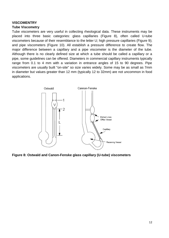#### **VISCOMENTRY**

#### **Tube Viscometry**

Tube viscometers are very useful in collecting rheological data. These instruments may be placed into three basic categories: glass capillaries (Figure 8), often called U-tube viscometers because of their resemblance to the letter U; high pressure capillaries (Figure 9); and pipe viscometers (Figure 10). All establish a pressure difference to create flow. The major difference between a capillary and a pipe viscometer is the diameter of the tube. Although there is no clearly defined size at which a tube should be called a capillary or a pipe, some guidelines can be offered. Diameters in commercial capillary instruments typically range from 0.1 to 4 mm with a variation in entrance angles of 15 to 90 degrees. Pipe viscometers are usually built "on-site" so size varies widely. Some may be as small as 7mm in diameter but values greater than 12 mm (typically 12 to 32mm) are not uncommon in food applications.



**Figure 8: Ostwald and Canon-Fenske glass capillary (U-tube) viscometers**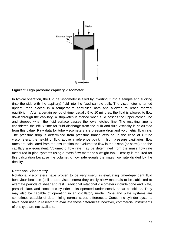

**Figure 9: High pressure capillary viscometer.**

In typical operation, the U-tube viscometer is filled by inverting it into a sample and sucking (into the side with the capillary) fluid into the fixed sample bulb. The viscometer is turned upright, then placed in a temperature controlled bath and allowed to reach thermal equilibrium. After a certain period of time, usually 5 to 10 minutes, the fluid is allowed to flow down through the capillary. A stopwatch is started when fluid passes the upper etched line and stopped when the fluid surface passes the lower etched line. The resulting time is considered the efflux time for fluid discharge from the bulb and fluid viscosity is calculated from this value. Raw data for tube viscometers are pressure drop and volumetric flow rate. The pressure drop is determined from pressure transducers or, in the case of U-tube viscometers, the height of fluid above a reference point. In high pressure capillaries, flow rates are calculated from the assumption that volumetric flow in the piston (or barrel) and the capillary are equivalent. Volumetric flow rate may be determined from the mass flow rate measured in pipe systems using a mass flow meter or a weight tank. Density is required for this calculation because the volumetric flow rate equals the mass flow rate divided by the density.

#### **Rotational Viscometry**

Rotational viscometers have proven to be very useful in evaluating time-dependent fluid behaviour because (unlike tube viscometers) they easily allow materials to be subjected to alternate periods of shear and rest. Traditional rotational viscometers include cone and plate, parallel plate, and concentric cylinder units operated under steady shear conditions. They may also be capable of operating in an oscillatory mode. Cone and plate systems are sometimes capable of determining normal stress differences. Concentric cylinder systems have been used in research to evaluate these differences; however, commercial instruments of this type are not available.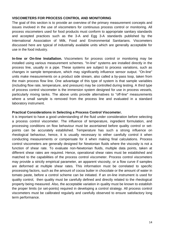#### **VISCOMETERS FOR PROCESS CONTROL AND MONITORING**

The goal of this section is to provide an overview of the primary measurement concepts and issues involved in the use of viscometers for continuous process control or monitoring. All process viscometers used for food products must conform to appropriate sanitary standards and accepted practices such as the 3-A and Egg 3-A standards published by the International Association of Milk, Food and Environmental Sanitarians. Viscometers discussed here are typical of industrially available units which are generally acceptable for use in the food industry.

**In-line or On-line Installation.** Viscometers for process control or monitoring may be installed using various measurement schemes. "In-line" systems are installed directly in the process line, usually in a pipe. These systems are subject to process variations, such as changes in sample temperature, which may significantly influence sensor output. "On-line" units make measurements on a product side stream, also called a by-pass loop, taken from the main process flow line. One advantage of this type of system is that sample variables (including flow rate, temperature, and pressure) may be controlled during testing. A third type of process control viscometer is the immersion system designed for use in process vessels, particularly mixing tanks. The above units provide alternatives to "off-line" measurements where a small sample is removed from the process line and evaluated in a standard laboratory instrument.

#### **Practical Considerations in Selecting a Process Control Viscometer.**

It is important to have a good understanding of the fluid under consideration before selecting a process control viscometer. The influence of temperature, ingredient formulation, and processing conditions on flow behaviour must be ascertained before quality control or setpoints can be accurately established. Temperature has such a strong influence on rheological behaviour, hence, it is usually necessary to either carefully control it when conducting measurements or compensate for it when making final calculations. Process control viscometers are generally designed for Newtonian fluids where the viscosity is not a function of shear rate. To evaluate non-Newtonian fluids, multiple data points, taken at different shear rates are required. Hence, operational shear rates must be established and matched to the capabilities of the process control viscometer. Process control viscometers may provide a strictly empirical parameter, an apparent viscosity, or a flow curve if samples are deformed at multiple shear rates. This information must be correlated to specific processing factors, such as the amount of cocoa butter in chocolate or the amount of water in tomato paste, before a control scheme can be initiated. If an on-line instrument is used for quality control, then quality must be carefully defined and directly related to the rheological property being measured. Also, the acceptable variation in quality must be known to establish the proper limits (or set-points) required in developing a control strategy. All process control viscometers must be calibrated regularly and carefully observed to ensure satisfactory long term performance.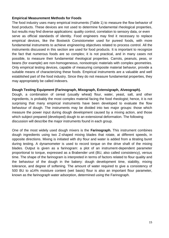#### **Empirical Measurement Methods for Foods**

The food industry uses many empirical instruments (Table 1) to measure the flow behavior of food products. These devices are not used to determine fundamental rheological properties, but results may find diverse applications: quality control, correlation to sensory data, or even serve as official standards of identity. Food engineers may find it necessary to replace empirical devices, like the Bostwick Consistometer used for pureed foods, with more fundamental instruments to achieve engineering objectives related to process control. All the instruments discussed in this section are used for food products. It is important to recognize the fact that numerous foods are so complex; it is not practical, and in many cases not possible, to measure their fundamental rheological properties. Carrots, peanuts, peas, or beans (for example) are non-homogeneous, nonisotropic materials with complex geometries. Only empirical testing devices, capable of measuring composite material behavior, provide a suitable means of characterizing these foods. Empirical instruments are a valuable and well established part of the food industry. Since they do not measure fundamental properties, they may appropriately be called indexers.

#### **Dough Testing Equipment (Farinograph, Mixograph, Extensigraph, Alveograph).**

Dough, a combination of cereal (usually wheat) flour, water, yeast, salt, and other ingredients, is probably the most complex material facing the food rheologist; hence, it is not surprising that many empirical instruments have been developed to evaluate the flow behaviour of dough. The instruments may be divided into two major groups: those which measure the power input during dough development caused by a mixing action, and those which subject prepared (developed) dough to an extensional deformation. The following discussion will describe the major instruments found in each group.

One of the most widely used dough mixers is the **Farinograph.** This instrument combines dough ingredients using two Z-shaped mixing blades that rotate, at different speeds, in opposite directions. Mixing is initiated with dry flour and water is added from a titrating buret during testing. A dynamometer is used to record torque on the drive shaft of the mixing blades. Output is given as a farinogram: a plot of an instrument-dependent parameter proportional to torque, expressed as a Brabender unit (BU, also called consistency), versus time. The shape of the farinogram is interpreted in terms of factors related to flour quality and the behaviour of the dough in the bakery: dough development time, stability, mixing tolerance, and degree of softening. The amount of water required to give a consistency of 500 BU to a14% moisture content (wet basis) flour is also an important flour parameter, known as the farinograph water adsorption, determined using the Farinograph.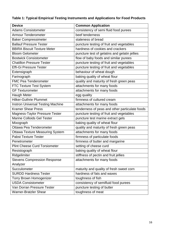# **Table 1: Typical Empirical Testing Instruments and Applications for Food Products**

| <b>Device</b>                            | <b>Common Application</b>                      |
|------------------------------------------|------------------------------------------------|
| <b>Adams Consistometer</b>               | consistency of semi fluid food purees          |
| <b>Armour Tenderometer</b>               | beef tenderness                                |
| <b>Baker Compressimeter</b>              | staleness of bread                             |
| <b>Ballauf Pressure Tester</b>           | puncture testing of fruit and vegetables       |
| <b>BBIRA Biscuit Texture Meter</b>       | hardness of cookies and crackers               |
| <b>Bloom Gelometer</b>                   | puncture test of gelatins and gelatin jellies  |
| <b>Bostwick Consistometer</b>            | flow of baby foods and similar purees          |
| <b>Chatillon Pressure Tester</b>         | puncture testing of fruit and vegetables       |
| <b>Effi-Gi Pressure Tester</b>           | puncture testing of fruit and vegetables       |
| Extensigraph                             | behaviour of wheat dough                       |
| Farinograph                              | baking quality of wheat flour                  |
| <b>FMC Pea Tenderometer</b>              | quality and maturity of fresh green peas       |
| <b>FTC Texture Test System</b>           | attachments for many foods                     |
| <b>GF Texturometer</b>                   | attachments for many foods                     |
| <b>Haugh Meter</b>                       | egg quality                                    |
| <b>Hilker-Guthrie Plummet</b>            | firmness of cultured cream                     |
| <b>Instron Universal Testing Machine</b> | attachments for many foods                     |
| <b>Kramer Shear Press</b>                | tenderness of peas and other particulate foods |
| Magness-Taylor Pressure Tester           | puncture testing of fruit and vegetables       |
| <b>Marine Colloids Gel Tester</b>        | puncture test marine extract gels              |
| Mixograph                                | baking quality of wheat flour                  |
| Ottawa Pea Tenderometer                  | quality and maturity of fresh green peas       |
| <b>Ottawa Texture Measuring System</b>   | attachments for many foods                     |
| <b>Pabst Texture Tester</b>              | firmness of particulate foods                  |
| Penetrometer                             | firmness of butter and margarine               |
| <b>Plint Cheese Curd Torsiometer</b>     | setting of cheese curd                         |
| Resistograph                             | baking quality of wheat flour                  |
| Ridgelimiter                             | stiffness of pectin and fruit jellies          |
| <b>Stevens Compression Response</b>      | attachments for many foods                     |
| Analyzer                                 |                                                |
| Succulometer                             | maturity and quality of fresh sweet corn       |
| <b>SURDD Hardness Tester</b>             | hardness of fats and waxes                     |
| <b>Torry Brown Homogenizer</b>           | toughness of fish                              |
| <b>USDA Consistometer</b>                | consistency of semifluid food purees           |
| Van Dorran Pressure Tester               | puncture testing of butter                     |
| <b>Warner-Bratzler Shear</b>             | toughness of meat                              |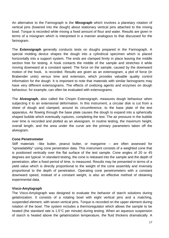An alternative to the Farinograph is the **Mixograph** which involves a planetary rotation of vertical pins (lowered into the dough) about stationary vertical pins attached to the mixing bowl. Torque is recorded while mixing a fixed amount of flour and water. Results are given in terms of a mixogram which is interpreted in a manner analogous to that discussed for the farinogram.

The **Extensigraph** generally conducts tests on doughs prepared in the Farinograph. A special molding device shapes the dough into a cylindrical specimen which is placed horizontally into a support system. The ends are clamped firmly in place leaving the middle section free for testing. A hook contacts the middle of the sample and stretches it while moving downward at a constant speed. The force on the sample, caused by the downward motion of the hook, is recorded. Results are given as an extensogram, a plot of force (in Brabender units) versus time and extension, which provides valuable quality control information for the dough. It is important to note that materials with similar farinograms may have very different extensograms. The effects of oxidizing agents and enzymes on dough behaviour, for example, can often be evaluated with extensograms.

The **Alveograph**, also called the Chopin Extensigraph, measures dough behaviour when subjecting it to an extensional deformation. In this instrument, a circular disk is cut from a sheet of dough and clamped, around its circumference, to the base plate of the test apparatus. Air flowing through the base plate causes the dough to expand into a spherically shaped bubble which eventually ruptures, completing the test. The air pressure in the bubble over time is recorded and plotted as an alveogram. In routine testing, the maximum height, overall length, and the area under the curve are the primary parameters taken off the alveogram.

#### **Cone Penetrometer**

Stiff materials --like butter, peanut butter, or margarine -- are often assessed for "spreadability" using cone penetration data. This instrument consists of a weighted cone that is positioned vertically over the flat surface of the test sample. Cone angles of 20 or 45 degrees are typical. In standard testing, the cone is released into the sample and the depth of penetration, after a fixed period of time, is measured. Results may be presented in terms of a yield value which is directly proportional to the weight of the cone assembly and inversely proportional to the depth of penetration. Operating cone penetrometers with a constant downward speed, instead of a constant weight, is also an effective method of obtaining experimental data.

#### **Visco-Amylograph**

The Visco-Amylograph was designed to evaluate the behavior of starch solutions during gelatinization. It consists of a rotating bowl with eight vertical pins and a matching, suspended element, with seven vertical pins. Torque is recorded on the upper element during rotation of the bowl. The system includes a thermoregulator which allows the sample to be heated (the standard rate is 1.5°C per minute) during testing. When an aqueous suspension of starch is heated above the gelatinization temperature, the fluid thickens dramatically. A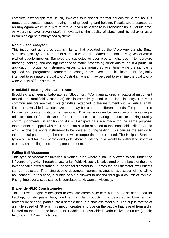complete amylograph test usually involves four distinct thermal periods while the bowl is rotated at a constant speed: heating, holding, cooling, and holding. Results are presented as an amylogram which is a plot of torque (given as viscosity in Brabender units) versus time. Amylograms have proven useful in evaluating the quality of starch and its behavior as a thickening agent in many food systems.

#### **Rapid Visco Analyser**

This instrument generates data similar to that provided by the Visco-Amylograph. Small samples, typically 3 to 4 grams of starch in water, are heated in a small mixing vessel with a pitched paddle impeller. Samples are subjected to user program changes in temperature (heating, holding, and cooling) intended to match processing conditions found in a particular application. Torque, or instrument viscosity, are measured over time while the sample is agitated and programmed temperature changes are executed. This instrument, originally intended to evaluate the quality of Australian wheat, may be used to examine the quality of a wide variety of food starches.

#### **Brookfield Rotating Disks and T-Bars**

Brookfield Engineering Laboratories (Stoughton, MA) manufactures a rotational instrument (called the Brookfield Viscometer) that is extensively used in the food industry. The most common sensors are flat disks (spindles) attached to the instrument with a vertical shaft. Disks are available in various sizes and may be rotated at different speeds. Torque required to maintain constant rotation is measured. Disk sensors can be very useful in obtaining a relative index of food thickness for the purpose of comparing products or making quality control judgments. In addition to disks, T-shaped bars are made for the same purpose. Instruments, equipped with the T-bars, can also be attached to the Brookfield Helipath Stand which allows the entire instrument to be lowered during testing. This causes the sensor to take a spiral path through the sample while torque data are obtained. The Helipath Stand is typically used for thick pastes and gels where a rotating disk would be difficult to insert or create a channeling effect during measurement.

#### **Falling Ball Viscometer**

This type of viscometer involves a vertical tube where a ball is allowed to fall, under the influence of gravity, through a Newtonian fluid. Viscosity is calculated on the basis of the time taken to fall a fixed distance. If the vessel diameter is 10 times the ball diameter, wall effects can be neglected. The rising bubble viscometer represents another application of the falling ball concept. In this case, a bubble of air is allowed to ascend through a column of sample. Rising time over a set distance is correlated to Newtonian viscosity.

#### **Brabender-FMC Consistometer**

This unit was originally designed to evaluate cream style corn but it has also been used for ketchup, tomato paste, baby food, and similar products. It is designed to lower a thin, rectangular shaped, paddle into a sample held in a stainless steel cup. The cup is rotated at a single speed of 78 rpm. This motion creates a torque on the paddle that is read from a dial located on the top of the instrument. Paddles are available in various sizes: 5.08 cm (2 inch) by 3.56 cm (1.4 inch) is typical.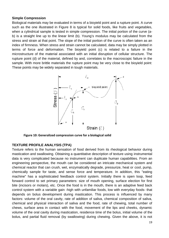#### **Simple Compression**

Biological materials may be evaluated in terms of a bioyield point and a rupture point. A curve such as the one illustrated in Figure 8 is typical for solid foods, like fruits and vegetables, when a cylindrical sample is tested in simple compression. The initial portion of the curve (ab) is a straight line up to the linear limit (b). Young's modulus may be calculated from the stress and strain at that point. The slope of the initial portion of the curve is often taken as an index of firmness. When stress and strain cannot be calculated, data may be simply plotted in terms of force and deformation. The bioyield point (c) is related to a failure in the microstructure of the material associated with an initial disruption of cellular structure. The rupture point (d) of the material, defined by and, correlates to the macroscopic failure in the sample. With more brittle materials the rupture point may be very close to the bioyield point: These points may be widely separated in tough materials.



**Figure 10: Generalized compression curve for a biological solid**

#### **TEXTURE PROFILE ANALYSIS (TPA)**

Texture refers to the human sensation of food derived from its rheological behavior during mastication and swallowing. Obtaining a quantitative description of texture using instrumental data is very complicated because no instrument can duplicate human capabilities. From an engineering perspective, the mouth can be considered an intricate mechanical system and chemical reactor that can crush, wet, enzymatically degrade, pressurize, heat or cool, pump, chemically sample for taste, and sense force and temperature. In addition, this "eating machine" has a sophisticated feedback control system. Initially there is open loop, feed forward control to set primary parameters: size of mouth opening, surface election for first bite (incisors or molars), etc. Once the food is in the mouth, there is an adaptive feed back control system with a variable gain -high with unfamiliar foods, low with everyday foods- that depends on bolus development during mastication. This process is influenced by many factors: volume of the oral cavity, rate of addition of saliva, chemical composition of saliva, chemical and physical interaction of saliva and the food, rate of chewing, total number of chews, surface area in contact with the food, movement of the lips and cheeks, dynamic volume of the oral cavity during mastication, residence time of the bolus, initial volume of the bolus, and partial fluid removal (by swallowing) during chewing. Given the above, it is not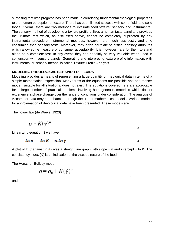surprising that little progress has been made in correlating fundamental rheological properties to the human perception of texture. There has been limited success with some fluid and solid foods. Overall, there are two methods to evaluate food texture: sensory and instrumental. The sensory method of developing a texture profile utilizes a human taste panel and provides the ultimate test which, as discussed above, cannot be completely duplicated by any instrumental procedure. Instrumental methods, however, are much less costly and time consuming than sensory tests. Moreover, they often correlate to critical sensory attributes which allow some measure of consumer acceptability. It is, however, rare for them to stand alone as a complete test. In any event, they can certainly be very valuable when used in conjunction with sensory panels. Generating and interpreting texture profile information, with instrumental or sensory means, is called Texture Profile Analysis.

## **MODELING RHEOLOGICAL BEHAVIOR OF FLUIDS**

Modeling provides a means of representing a large quantity of rheological data in terms of a simple mathematical expression. Many forms of the equations are possible and one master model, suitable for all situations, does not exist. The equations covered here are acceptable for a large number of practical problems involving homogeneous materials which do not experience a phase change over the range of conditions under consideration. The analysis of viscometer data may be enhanced through the use of mathematical models. Various models for approximation of rheological data have been presented. These models are:

The power law (de Waele, 1923)

$$
\sigma = K(\dot{\gamma})^n
$$

Linearizing equation 3 we have:

$$
ln \sigma = ln K + n ln \gamma
$$
 4

A plot of ln against ln  $\dot{y}$  gives a straight line graph with slope = n and intercept = ln K. The consistency index (K) is an indication of the viscous nature of the food.

The Herschel–Bulkley model

$$
\sigma = \sigma_0 + K(\gamma)^n
$$

and

5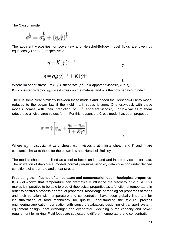The Casson model

$$
\sigma^{\frac{1}{2}}=\sigma_0^{\frac{1}{2}}+(\eta_{\circ}\gamma)^{\frac{1}{2}}
$$

The apparent viscosities for power-law and Herschel-Bulkley model fluids are given by equations (7) and (8), respectively:

6

8

 $\eta = K(\dot{\gamma})^{n-1}$ 7  $\eta = \sigma_0(\dot{\gamma})^{-1} + K(\dot{\gamma})^{n-1}$ 

Where  $\sigma$  = shear stress (Pa),  $\gamma$  = shear rate (s<sup>-1</sup>), = apparent viscosity (Pa.s), K = consistency factor,  $\sigma_0$  = yield stress on the material and n is the flow behaviour index.

There is some clear similarity between these models and indeed the Herschel–Bulkley model reduces to the power law if the yield  $n = \frac{0}{n}$  stress is zero. One drawback with these models comes with their prediction of the apparent viscosity. For low values of shear rate, these all give large values for . For this reason, the Cross model has been proposed

$$
\sigma = \dot{\gamma} \left[ \eta_{\infty} + \frac{\eta_0 - \eta_{\infty}}{1 + K \dot{\gamma}^n} \right]
$$

Where  $n_a$  = viscosity at zero shear,  $n_a$  = viscosity at infinite shear, and K and n are constants similar to those for the power law and Herschel–Bulkley.

The models should be utilized as a tool to better understand and interpret viscometer data. The utilization of rheological models normally requires viscosity data collection under defined conditions of shear rate and shear stress.

**Predicting the influence of temperature and concentration upon rheological properties** It is well-known that temperature can dramatically influence the viscosity of a fluid. This makes it imperative to be able to predict rheological properties as a function of temperature in order to control a process or product properties. Knowledge of rheological properties of foods and their variation with temperature and concentration have been globally important for industrialization of food technology for quality, understanding the texture, process engineering application, correlation with sensory evaluation, designing of transport system, equipment design (heat exchanger and evaporator), deciding pump capacity and power requirement for mixing. Fluid foods are subjected to different temperature and concentration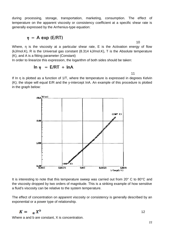during processing, storage, transportation, marketing, consumption. The effect of temperature on the apparent viscosity or consistency coefficient at a specific shear rate is generally expressed by the Arrhenius-type equation:

# $\eta$  = A exp (E/RT)

10

Where, is the viscosity at a particular shear rate, E is the Activation energy of flow (kJ/mol.K), R is the Universal gas constant (8.314 kJ/mol.K), T is the Absolute temperature (K), and A is a fitting parameter (Constant)

In order to linearize this expression, the logarithm of both sides should be taken:

# $\ln n$  = E/RT + InA

11

If  $\ln$  is plotted as a function of 1/T, where the temperature is expressed in degrees Kelvin (K); the slope will equal E/R and the y-intercept InA. An example of this procedure is plotted in the graph below:



It is interesting to note that this temperature sweep was carried out from 20° C to 80°C and the viscosity dropped by two orders of magnitude. This is a striking example of how sensitive a fluid's viscosity can be relative to the system temperature.

The effect of concentration on apparent viscosity or consistency is generally described by an exponential or a power type of relationship.

$$
K = a X^b
$$

Where a and b are constant, X is concentration.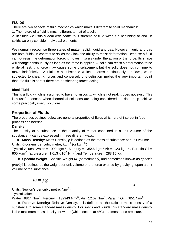## **FLUIDS**

There are two aspects of fluid mechanics which make it different to solid mechanics:

1. The nature of a fluid is much different to that of a solid.

2. In fluids we usually deal with *continuous* streams of fluid without a beginning or end. In solids we only consider individual elements.

We normally recognise three states of matter: solid; liquid and gas. However, liquid and gas are both fluids: in contrast to solids they lack the ability to resist deformation. Because a fluid cannot resist the deformation force, it moves, it *flows* under the action of the force. Its shape will change continuously as long as the force is applied. A solid can resist a deformation force while at rest, this force may cause some displacement but the solid does not continue to move indefinitely. A Fluid is a substance which deforms continuously, or flows, when subjected to shearing forces and conversely this definition implies the very important point that: If a fluid is at rest there are no shearing forces acting.

#### **Ideal Fluid**

This is a fluid which is assumed to have no viscosity, which is not real, it does not exist. This is a useful concept when theoretical solutions are being considered - it does help achieve some practically useful solutions.

# **Properties of Fluids**

The properties outlines below are general properties of fluids which are of interest in food process engineering.

#### **Density**

The density of a substance is the quantity of matter contained in a unit volume of the substance. It can be expressed in three different ways.

a. **Mass Density:** Mass Density, is defined as the mass of substance per unit volume. Units: Kilograms per cubic metre, kg/m $3$  (or kgm $3$ )

Typical values: Water = 1000 kgm $^3$ , Mercury = 13546 kgm $^3$  Air = 1.23 kgm $^3$ , Paraffin Oil = 800 kgm<sup>-3</sup> (at pressure =1.013 x 10<sup>-5</sup> Nm-<sup>2</sup> and Temperature = 288.15 K).

b. **Specific Weight:** Specific Weight ѡ, (sometimes ý, and sometimes known as *specific gravity*) is defined as the weight per unit volume or the force exerted by gravity, g, upon a unit volume of the substance.

$$
\omega = \rho g
$$

Units: Newton's per cubic metre, Nm-<sup>3</sup>)

Typical values:

Water =9814 Nm- $^3$ , Mercury = 132943 Nm- $^3$ , Air =12.07 Nm- $^3$ , Paraffin Oil =7851 Nm- $^3$ 

c. **Relative Density:** Relative Density, is defined as the ratio of mass density of a substance to some standard mass density. For solids and liquids this standard mass density is the maximum mass density for water (which occurs at 4°C) at atmospheric pressure.

13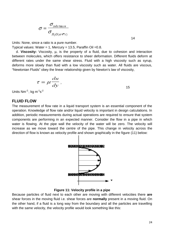$$
\sigma = \frac{\sigma_{\text{substance}}}{\sigma_{H_2O(at4^{\bullet}c)}}
$$

14

15

Units: None, since a ratio is a pure number.

Typical values: Water = 1, Mercury = 13.5, Paraffin Oil =  $0.8$ .

d. **Viscosity:** Viscosity, µ, is the property of a fluid, due to cohesion and interaction between molecules, which offers resistance to sheer deformation. Different fluids deform at different rates under the same shear stress. Fluid with a high viscosity such as syrup, deforms more slowly than fluid with a low viscosity such as water. All fluids are viscous, "Newtonian Fluids" obey the linear relationship given by Newton's law of viscosity,

$$
\tau = \mu \frac{du}{dy},
$$

Units Nm $^{-2}$ ; kg m $^{-1}$ s $^{-2}$ 

# **FLUID FLOW**

The measurement of flow rate in a liquid transport system is an essential component of the operation. Knowledge of flow rate and/or liquid velocity is important in design calculations. In addition, periodic measurements during actual operations are required to ensure that system components are performing in an expected manner. Consider the flow in a pipe in which water is flowing. At the pipe wall the velocity of the water will be zero. The velocity will increase as we move toward the centre of the pipe. This change in velocity across the direction of flow is known as velocity profile and shown graphically in the figure (11) below:





Because particles of fluid next to each other are moving with different velocities there **are** shear forces in the moving fluid i.e. shear forces are **normally** present in a moving fluid. On the other hand, if a fluid is a long way from the boundary and all the particles are travelling with the same velocity, the velocity profile would look something like this: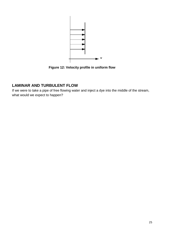

**Figure 12: Velocity profile in uniform flow**

# **LAMINAR AND TURBULENT FLOW**

If we were to take a pipe of free flowing water and inject a dye into the middle of the stream, what would we expect to happen?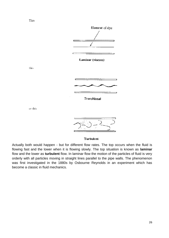



#### Turbulent

Actually both would happen - but for different flow rates. The top occurs when the fluid is flowing fast and the lower when it is flowing slowly. The top situation is known as **laminar** flow and the lower as **turbulent** flow. In laminar flow the motion of the particles of fluid is very orderly with all particles moving in straight lines parallel to the pipe walls. The phenomenon was first investigated in the 1880s by Osbourne Reynolds in an experiment which has become a classic in fluid mechanics.

26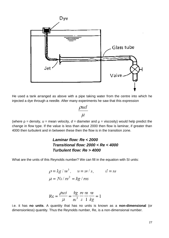

He used a tank arranged as above with a pipe taking water from the centre into which he injected a dye through a needle. After many experiments he saw that this expression

<u>pud</u>

(where  $=$  density,  $u =$  mean velocity,  $d =$  diameter and  $\mu =$  viscosity) would help predict the change in flow type. If the value is less than about 2000 then flow is laminar, if greater than 4000 then turbulent and in between these then the flow is in the transition zone.

# *Laminar flow: Re < 2000 Transitional flow: 2000 < Re < 4000 Turbulent flow: Re > 4000*

What are the units of this Reynolds number? We can fill in the equation with SI units:

$$
\rho = kg/m^3, \quad u = m/s, \quad d = m
$$
  

$$
\mu = Ns/m^2 = kg/ms
$$

$$
Rc = \frac{\rho ud}{\mu} = \frac{kg}{m^3} \frac{m}{s} \frac{m}{1} \frac{m}{kg} = 1
$$

i.e. it has **no units**. A quantity that has no units is known as a **non-dimensional** (or dimensionless) quantity. Thus the Reynolds number, Re, is a non-dimensional number.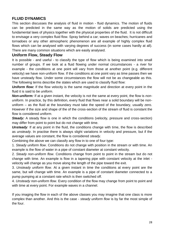# **FLUID DYNAMICS**

This section discusses the analysis of fluid in motion - fluid dynamics. The motion of fluids can be predicted in the same way as the motion of solids are predicted using the fundamental laws of physics together with the physical properties of the fluid. It is not difficult to envisage a very complex fluid flow. Spray behind a car; waves on beaches; hurricanes and tornadoes or any other atmospheric phenomenon are all example of highly complex fluid flows which can be analysed with varying degrees of success (in some cases hardly at all). There are many common situations which are easily analysed.

## **Uniform Flow, Steady Flow**

It is possible - and useful - to classify the type of flow which is being examined into small number of groups. If we look at a fluid flowing under normal circumstances - a river for example - the conditions at one point will vary from those at another point (e.g. different velocity) we have non-uniform flow. If the conditions at one point vary as time passes then we have unsteady flow. Under some circumstances the flow will not be as changeable as this. The following terms describe the states which are used to classify fluid flow:

**Uniform flow:** If the flow velocity is the same magnitude and direction at every point in the fluid it is said to be *uniform*.

*Non-uniform:* If at a given instant, the velocity is not the same at every point, the flow is *nonuniform*. In practice, by this definition, every fluid that flows near a solid boundary will be nonuniform – as the fluid at the boundary must take the speed of the boundary, usually zero. However if the size and shape of the of the cross-section of the stream of fluid is constant the flow is considered *uniform*.

**Steady:** A steady flow is one in which the conditions (velocity, pressure and cross-section) may differ from point to point but do not change with time.

**Unsteady**: If at any point in the fluid, the conditions change with time, the flow is described as *unsteady*. In practise there is always slight variations in velocity and pressure, but if the average values are constant, the flow is considered *steady*.

Combining the above we can classify any flow in to one of four type:

1. *Steady uniform flow*. Conditions do not change with position in the stream or with time. An example is the flow of water in a pipe of constant diameter at constant velocity.

2. *Steady non-uniform flow.* Conditions change from point to point in the stream but do not change with time. An example is flow in a tapering pipe with constant velocity at the inlet velocity will change as you move along the length of the pipe toward the exit.

3. *Unsteady uniform flow*. At a given instant in time the conditions at every point are the same, but will change with time. An example is a pipe of constant diameter connected to a pump pumping at a constant rate which is then switched off.

4. *Unsteady non-uniform flow.* Every condition of the flow may change from point to point and with time at every point. For example waves in a channel.

If you imaging the flow in each of the above classes you may imagine that one class is more complex than another. And this is the case - *steady uniform flow* is by far the most simple of the four.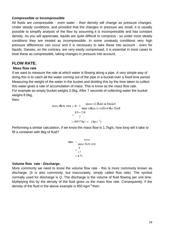#### **Compressible or Incompressible**

All fluids are compressible - even water - their density will change as pressure changes. Under steady conditions, and provided that the changes in pressure are small, it is usually possible to simplify analysis of the flow by assuming it is incompressible and has constant density. As you will appreciate, liquids are quite difficult to compress - so under most steady conditions they are treated as incompressible. In some unsteady conditions very high pressure differences can occur and it is necessary to take these into account - even for liquids. Gasses, on the contrary, are very easily compressed, it is essential in most cases to treat these as compressible, taking changes in pressure into account.

# **FLOW RATE.**

#### **Mass flow rate**

If we want to measure the rate at which water is flowing along a pipe. A very simple way of doing this is to catch all the water coming out of the pipe in a bucket over a fixed time period. Measuring the weight of the water in the bucket and dividing this by the time taken to collect this water gives a rate of accumulation of mass. This is know as the *mass flow rate.* For example an empty bucket weighs 2.0kg. After 7 seconds of collecting water the bucket weighs 8.0kg,

then:

mass flow rate = 
$$
\dot{m}
$$
 =  $\frac{\text{mass of fluid in bucket}}{\text{time taken to collect the fluid}}$   
=  $\frac{8.0 - 2.0}{7}$   
= 0.857 kg/s (kg s<sup>-1</sup>)

Performing a similar calculation, if we know the mass flow is 1.7kg/s, how long will it take to fill a container with 8kg of fluid?

> mass  $time = \frac{mass}{mass}$  flow rate  $=\frac{8}{1.7}$  $= 4.7s$

#### **Volume flow rate - Discharge.**

More commonly we need to know the volume flow rate - this is more commonly known as *discharge.* (It is also commonly, but inaccurately, simply called flow rate). The symbol normally used for discharge is *Q*. The discharge is the volume of fluid flowing per unit time. Multiplying this by the density of the fluid gives us the mass flow rate. Consequently, if the density of the fluid in the above example is 850 kgm $3$  then: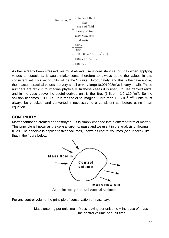discharge, Q = volume of fluid

\n
$$
= \frac{\text{mass of fluid}}{\text{density} \times \text{time}}
$$
\n
$$
= \frac{\text{mass flow rate}}{\text{density}}
$$
\n
$$
= \frac{0.857}{850}
$$
\n
$$
= 0.001008 \, m^3 / s \, (m^3 s^{-1})
$$
\n
$$
= 1.008 \times 10^{-3} m^3 / s
$$
\n
$$
= 1.008 l / s
$$

As has already been stressed, we must always use a consistent set of units when applying values to equations. It would make sense therefore to always quote the values in this consistent set. This set of units will be the SI units. Unfortunately, and this is the case above, these actual practical values are very small or very large (0.001008m<sup>3</sup>/s is very small). These numbers are difficult to imagine physically. In these cases it is useful to use *derived units*, and in the case above the useful derived unit is the litre. (1 litre = 1.0 x10- $\rm{3m^3}$ ). So the solution becomes 1.008 l/s . It is far easier to imagine 1 litre than 1.0 x10- $^3$  m $^3$ . Units must always be checked, and converted if necessary to a consistent set before using in an equation.

# **CONTINUITY**

Matter cannot be created nor destroyed - (it is simply changed into a different form of matter). This principle is known as the *conservation of mass* and we use it in the analysis of flowing fluids. The principle is applied to fixed volumes, known as control volumes (or surfaces), like that in the figure below:



For any control volume the principle of conservation of mass says.

Mass entering per unit time  $=$  Mass leaving per unit time  $+$  Increase of mass in the control volume per unit time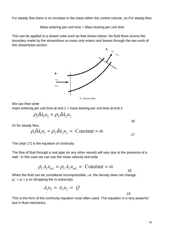For steady flow there is no increase in the mass within the control volume, so For steady flow

Mass entering per unit time = Mass leaving per unit time

This can be applied to a stream tube such as that shown below. No fluid flows across the boundary made by the streamlines so mass only enters and leaves through the two ends of this streamtube section.



We can then write

mass entering per unit time at end  $1 =$  mass leaving per unit time at end 2

$$
\rho_1 \delta A_1 u_1 = \rho_2 \delta A_2 u_2
$$

Or for steady flow,

$$
\rho_1 \delta A_1 u_1 = \rho_2 \delta A_2 u_2 = \text{Constant} = \dot{m}
$$

This (eqn 17) is the equation of continuity.

The flow of fluid through a real pipe (or any other vessel) will vary due to the presence of a wall - in this case we can use the mean velocity and write

$$
\rho_1 A_1 u_{m1} = \rho_2 A_2 u_{m2} = \text{Constant} = \dot{m}
$$

When the fluid can be considered incompressible, i.e. the density does not change*,*  $1 = 2$  = so (dropping the *m* subscript)

$$
A_1 u_1 = A_2 u_2 = Q
$$

19

This is the form of the continuity equation most often used. This equation is a very powerful tool in fluid mechanics.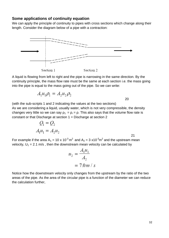# **Some applications of continuity equation**

We can apply the principle of continuity to pipes with cross sections which change along their length. Consider the diagram below of a pipe with a contraction:



A liquid is flowing from left to right and the pipe is narrowing in the same direction. By the continuity principle, the mass flow rate must be the same at each section i.e. the mass going into the pipe is equal to the mass going out of the pipe. So we can write:

$$
A_1 u_1 \rho_1 = A_2 u_2 \rho_2
$$

20

21

(with the sub-scripts 1 and 2 indicating the values at the two sections) As we are considering a liquid, usually water, which is not very compressible, the density changes very little so we can say  $1 = 2$  = . This also says that the volume flow rate is constant or that Discharge at section 1 = Discharge at section 2

$$
Q_1 = Q_2
$$
  

$$
A_1 u_1 = A_2 u_2
$$

For example if the area A<sub>1</sub> = 10 x 10<sup>-3</sup> m<sup>2</sup> and A<sub>2</sub> = 3 x10<sup>-3</sup>m<sup>2</sup> and the upstream mean velocity,  $U_1 = 2.1$  m/s, then the downstream mean velocity can be calculated by

$$
u_2 = \frac{A_1 u_1}{A_2}
$$

$$
= 7.0 m/s
$$

Notice how the downstream velocity only changes from the upstream by the ratio of the two areas of the pipe. As the area of the circular pipe is a function of the diameter we can reduce the calculation further,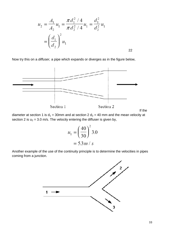$$
u_2 = \frac{A_1}{A_2} u_1 = \frac{\pi d_1^2 / 4}{\pi d_2^2 / 4} u_1 = \frac{d_1^2}{d_2^2} u_1
$$
  
=  $\left(\frac{d_1}{d_2}\right)^2 u_1$ 

Now try this on a *diffuser,* a pipe which expands or diverges as in the figure below,



diameter at section 1 is  $d_1 = 30$ mm and at section 2  $d_2 = 40$  mm and the mean velocity at section 2 is  $u_2 = 3.0$  m/s. The velocity entering the diffuser is given by,

$$
u_1 = \left(\frac{40}{30}\right)^2 3.0
$$

$$
= 5.3 m / s
$$

Another example of the use of the continuity principle is to determine the velocities in pipes coming from a junction.

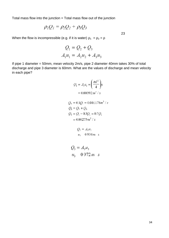Total mass flow into the junction = Total mass flow out of the junction

$$
\rho_1Q_1=\rho_2Q_2+\rho_3Q_3
$$

23

When the flow is incompressible (e.g. if it is water)  $1 = 2 =$ 

$$
Q_1 = Q_2 + Q_3
$$
  

$$
A_1 u_1 = A_2 u_2 + A_3 u_3
$$

If pipe 1 diameter = 50mm, mean velocity 2m/s, pipe 2 diameter 40mm takes 30% of total discharge and pipe 3 diameter is 60mm. What are the values of discharge and mean velocity in each pipe?

$$
Q_1 = A_1 u_1 = \left(\frac{\pi d^2}{4}\right) u
$$

$$
= 0.00392 m^3 / s
$$

$$
Q_2 = 0.3Q_1 = 0.001178m^3 / s
$$
  
\n
$$
Q_1 = Q_2 + Q_3
$$
  
\n
$$
Q_3 = Q_1 - 0.3Q_1 = 0.7Q_1
$$
  
\n
$$
= 0.00275m^3 / s
$$

$$
Q_2 = A_2 u_2
$$
  
 
$$
u_2 = 0.936 m
$$
 s

$$
Q_3 = A_3 u_3
$$
  

$$
u_3 = 0.972 m
$$
 s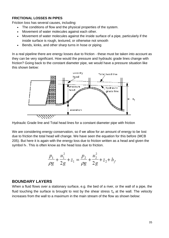#### **FRICTIONAL LOSSES IN PIPES**

Friction loss has several causes, including:

- The conditions of flow and the physical properties of the system.
- Movement of water molecules against each other.
- Movement of water molecules against the inside surface of a pipe, particularly if the inside surface is rough, textured, or otherwise not smooth
- Bends, kinks, and other sharp turns in hose or piping

In a real pipeline there are energy losses due to friction - these must be taken into account as they can be very significant. How would the pressure and hydraulic grade lines change with friction? Going back to the constant diameter pipe, we would have a pressure situation like this shown below:



Hydraulic Grade line and Total head lines for a constant diameter pipe with friction

We are considering energy conservation, so if we allow for an amount of energy to be lost due to friction the total head will change. We have seen the equation for this before (MCB 205). But here it is again with the energy loss due to friction written as a head and given the symbol h<sub>f</sub>. This is often know as the head loss due to friction.

$$
\frac{p_1}{\rho g} + \frac{u_1^2}{2g} + z_1 = \frac{p_2}{\rho g} + \frac{u_2^2}{2g} + z_2 + h_f
$$

# **BOUNDARY LAYERS**

When a fluid flows over a stationary surface, e.g. the bed of a river, or the wall of a pipe, the fluid touching the surface is brought to rest by the shear stress  $\alpha$  at the wall. The velocity increases from the wall to a maximum in the main stream of the flow as shown below: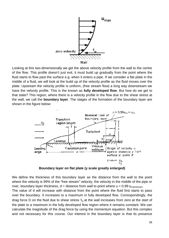

Looking at this two-dimensionally we get the above velocity profile from the wall to the centre of the flow. This profile doesn't just exit, it must build up gradually from the point where the fluid starts to flow past the surface e.g. when it enters a pipe. If we consider a flat plate in the middle of a fluid, we will look at the build up of the velocity profile as the fluid moves over the plate. Upstream the velocity profile is uniform, (free stream flow) a long way downstream we have the velocity profile. This is the known as **fully developed flow**. But how do we get to that state? This region, where there is a velocity profile in the flow due to the shear stress at the wall, we call the **boundary layer**. The stages of the formation of the boundary layer are shown in the figure below:



**Boundary layer on flat plate (y scale greatly enlarged)**

We define the thickness of this boundary layer as the distance from the wall to the point where the velocity is 99% of the "free stream" velocity, the velocity in the middle of the pipe or river, boundary layer thickness,  $d =$  distance from wall to point where  $u = 0.99 u_{\text{mainstream}}$ .

The value of d will increase with distance from the point where the fluid first starts to pass over the boundary. It increases to a maximum in fully developed flow. Correspondingly, the drag force D on the fluid due to shear stress  $\sigma_0$  at the wall increases from zero at the start of the plate to a maximum in the fully developed flow region where it remains constant. We can calculate the magnitude of the drag force by using the momentum equation. But this complex and not necessary for this course. Our interest in the boundary layer is that its presence